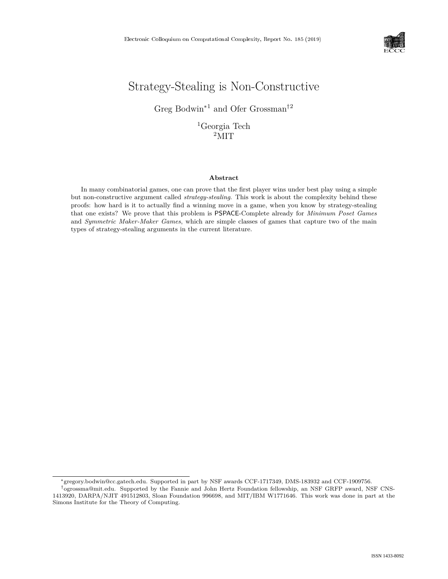

# Strategy-Stealing is Non-Constructive

Greg Bodwin\*<sup>1</sup> and Ofer Grossman†<sup>2</sup>

 ${}^{1}$ Georgia Tech <sup>2</sup>MIT

#### **Abstract**

In many combinatorial games, one can prove that the first player wins under best play using a simple but non-constructive argument called *strategy-stealing*. This work is about the complexity behind these proofs: how hard is it to actually find a winning move in a game, when you know by strategy-stealing that one exists? We prove that this problem is PSPACE-Complete already for *Minimum Poset Games* and *Symmetric Maker-Maker Games*, which are simple classes of games that capture two of the main types of strategy-stealing arguments in the current literature.

<sup>\*</sup>gregory.bodwin@cc.gatech.edu. Supported in part by NSF awards CCF-1717349, DMS-183932 and CCF-1909756.

<sup>†</sup>ogrossma@mit.edu. Supported by the Fannie and John Hertz Foundation fellowship, an NSF GRFP award, NSF CNS-1413920, DARPA/NJIT 491512803, Sloan Foundation 996698, and MIT/IBM W1771646. This work was done in part at the Simons Institute for the Theory of Computing.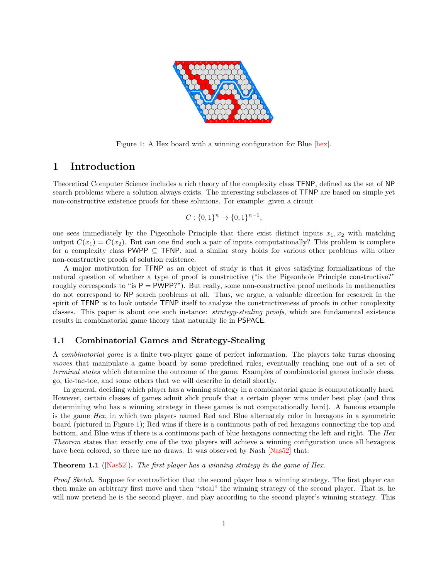

Figure 1: A Hex board with a winning configuration for Blue [\[hex\]](#page--1-0).

# **1 Introduction**

Theoretical Computer Science includes a rich theory of the complexity class TFNP, defined as the set of NP search problems where a solution always exists. The interesting subclasses of TFNP are based on simple yet non-constructive existence proofs for these solutions. For example: given a circuit

<span id="page-1-0"></span>
$$
C: \{0,1\}^n \to \{0,1\}^{n-1},
$$

one sees immediately by the Pigeonhole Principle that there exist distinct inputs  $x_1, x_2$  with matching output  $C(x_1) = C(x_2)$ . But can one find such a pair of inputs computationally? This problem is complete for a complexity class PWPP  $\subseteq$  TFNP, and a similar story holds for various other problems with other non-constructive proofs of solution existence.

A major motivation for TFNP as an object of study is that it gives satisfying formalizations of the natural question of whether a type of proof is constructive ("is the Pigeonhole Principle constructive?" roughly corresponds to "is  $P = PWPP$ ?"). But really, some non-constructive proof methods in mathematics do not correspond to NP search problems at all. Thus, we argue, a valuable direction for research in the spirit of TFNP is to look outside TFNP itself to analyze the constructiveness of proofs in other complexity classes. This paper is about one such instance: *strategy-stealing proofs*, which are fundamental existence results in combinatorial game theory that naturally lie in PSPACE.

## **1.1 Combinatorial Games and Strategy-Stealing**

A *combinatorial game* is a finite two-player game of perfect information. The players take turns choosing *moves* that manipulate a game board by some predefined rules, eventually reaching one out of a set of *terminal states* which determine the outcome of the game. Examples of combinatorial games include chess, go, tic-tac-toe, and some others that we will describe in detail shortly.

In general, deciding which player has a winning strategy in a combinatorial game is computationally hard. However, certain classes of games admit slick proofs that a certain player wins under best play (and thus determining who has a winning strategy in these games is not computationally hard). A famous example is the game *Hex*, in which two players named Red and Blue alternately color in hexagons in a symmetric board (pictured in Figure [1\)](#page-1-0); Red wins if there is a continuous path of red hexagons connecting the top and bottom, and Blue wins if there is a continuous path of blue hexagons connecting the left and right. The *Hex Theorem* states that exactly one of the two players will achieve a winning configuration once all hexagons have been colored, so there are no draws. It was observed by Nash [\[Nas52\]](#page--1-1) that:

<span id="page-1-1"></span>**Theorem 1.1** ([\[Nas52\]](#page--1-1))**.** *The first player has a winning strategy in the game of Hex.*

*Proof Sketch.* Suppose for contradiction that the second player has a winning strategy. The first player can then make an arbitrary first move and then "steal" the winning strategy of the second player. That is, he will now pretend he is the second player, and play according to the second player's winning strategy. This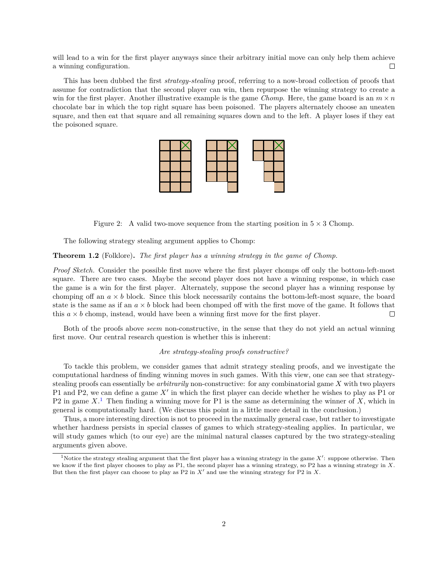will lead to a win for the first player anyways since their arbitrary initial move can only help them achieve a winning configuration.  $\Box$ 

This has been dubbed the first *strategy-stealing* proof, referring to a now-broad collection of proofs that assume for contradiction that the second player can win, then repurpose the winning strategy to create a win for the first player. Another illustrative example is the game *Chomp*. Here, the game board is an  $m \times n$ chocolate bar in which the top right square has been poisoned. The players alternately choose an uneaten square, and then eat that square and all remaining squares down and to the left. A player loses if they eat the poisoned square.



Figure 2: A valid two-move sequence from the starting position in  $5 \times 3$  Chomp.

The following strategy stealing argument applies to Chomp:

#### <span id="page-2-1"></span>**Theorem 1.2** (Folklore)**.** *The first player has a winning strategy in the game of Chomp.*

*Proof Sketch.* Consider the possible first move where the first player chomps off only the bottom-left-most square. There are two cases. Maybe the second player does not have a winning response, in which case the game is a win for the first player. Alternately, suppose the second player has a winning response by chomping off an  $a \times b$  block. Since this block necessarily contains the bottom-left-most square, the board state is the same as if an  $a \times b$  block had been chomped off with the first move of the game. It follows that this  $a \times b$  chomp, instead, would have been a winning first move for the first player.  $\Box$ 

Both of the proofs above *seem* non-constructive, in the sense that they do not yield an actual winning first move. Our central research question is whether this is inherent:

#### *Are strategy-stealing proofs constructive?*

To tackle this problem, we consider games that admit strategy stealing proofs, and we investigate the computational hardness of finding winning moves in such games. With this view, one can see that strategystealing proofs can essentially be *arbitrarily* non-constructive: for any combinatorial game X with two players P1 and P2, we can define a game  $X'$  in which the first player can decide whether he wishes to play as P1 or P2 in game  $X<sup>1</sup>$  $X<sup>1</sup>$  $X<sup>1</sup>$ . Then finding a winning move for P1 is the same as determining the winner of X, which in general is computationally hard. (We discuss this point in a little more detail in the conclusion.)

Thus, a more interesting direction is not to proceed in the maximally general case, but rather to investigate whether hardness persists in special classes of games to which strategy-stealing applies. In particular, we will study games which (to our eye) are the minimal natural classes captured by the two strategy-stealing arguments given above.

<span id="page-2-0"></span><sup>&</sup>lt;sup>1</sup>Notice the strategy stealing argument that the first player has a winning strategy in the game  $X'$ : suppose otherwise. Then we know if the first player chooses to play as P1, the second player has a winning strategy, so P2 has a winning strategy in  $X$ . But then the first player can choose to play as P2 in  $X'$  and use the winning strategy for P2 in  $X$ .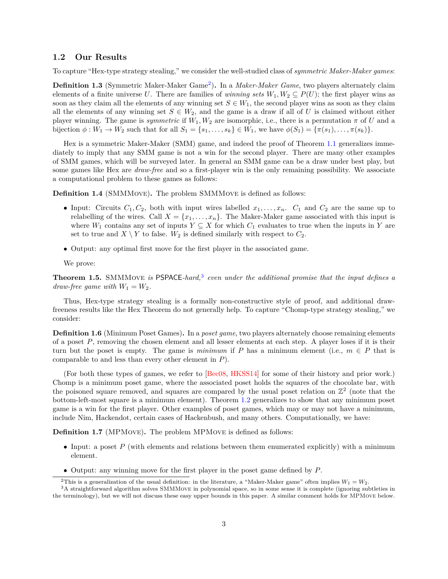#### **1.2 Our Results**

To capture "Hex-type strategy stealing," we consider the well-studied class of *symmetric Maker-Maker games*:

**Definition 1.3** (Symmetric Maker-Maker Game<sup>[2](#page-3-0)</sup>). In a *Maker-Maker Game*, two players alternately claim elements of a finite universe U. There are families of *winning sets*  $W_1, W_2 \subseteq P(U)$ ; the first player wins as soon as they claim all the elements of any winning set  $S \in W_1$ , the second player wins as soon as they claim all the elements of any winning set  $S \in W_2$ , and the game is a draw if all of U is claimed without either player winning. The game is *symmetric* if  $W_1, W_2$  are isomorphic, i.e., there is a permutation  $\pi$  of U and a bijection  $\phi : W_1 \to W_2$  such that for all  $S_1 = \{s_1, \ldots, s_k\} \in W_1$ , we have  $\phi(S_1) = \{\pi(s_1), \ldots, \pi(s_k)\}.$ 

Hex is a symmetric Maker-Maker (SMM) game, and indeed the proof of Theorem [1.1](#page-1-1) generalizes immediately to imply that any SMM game is not a win for the second player. There are many other examples of SMM games, which will be surveyed later. In general an SMM game can be a draw under best play, but some games like Hex are *draw-free* and so a first-player win is the only remaining possibility. We associate a computational problem to these games as follows:

**Definition 1.4** (SMMMove)**.** The problem SMMMove is defined as follows:

- Input: Circuits  $C_1, C_2$ , both with input wires labelled  $x_1, \ldots, x_n$ .  $C_1$  and  $C_2$  are the same up to relabelling of the wires. Call  $X = \{x_1, \ldots, x_n\}$ . The Maker-Maker game associated with this input is where  $W_1$  contains any set of inputs  $Y \subseteq X$  for which  $C_1$  evaluates to true when the inputs in Y are set to true and  $X \setminus Y$  to false.  $W_2$  is defined similarly with respect to  $C_2$ .
- ∙ Output: any optimal first move for the first player in the associated game.

We prove:

<span id="page-3-2"></span>**Theorem 1.5.** SMMMove *is* PSPACE*-hard,*[3](#page-3-1) *even under the additional promise that the input defines a draw-free game with*  $W_1 = W_2$ .

Thus, Hex-type strategy stealing is a formally non-constructive style of proof, and additional drawfreeness results like the Hex Theorem do not generally help. To capture "Chomp-type strategy stealing," we consider:

<span id="page-3-4"></span>**Definition 1.6** (Minimum Poset Games). In a *poset game*, two players alternately choose remaining elements of a poset  $P$ , removing the chosen element and all lesser elements at each step. A player loses if it is their turn but the poset is empty. The game is *minimum* if P has a minimum element (i.e.,  $m \in P$  that is comparable to and less than every other element in  $P$ ).

(For both these types of games, we refer to [\[Bec08,](#page-9-0) [HKSS14\]](#page--1-2) for some of their history and prior work.) Chomp is a minimum poset game, where the associated poset holds the squares of the chocolate bar, with the poisoned square removed, and squares are compared by the usual poset relation on  $\mathbb{Z}^2$  (note that the bottom-left-most square is a minimum element). Theorem [1.2](#page-2-1) generalizes to show that any minimum poset game is a win for the first player. Other examples of poset games, which may or may not have a minimum, include Nim, Hackendot, certain cases of Hackenbush, and many others. Computationally, we have:

**Definition 1.7** (MPMOVE). The problem MPMOVE is defined as follows:

- Input: a poset  $P$  (with elements and relations between them enumerated explicitly) with a minimum element.
- ∙ Output: any winning move for the first player in the poset game defined by .

<span id="page-3-1"></span><span id="page-3-0"></span><sup>&</sup>lt;sup>2</sup>This is a generalization of the usual definition: in the literature, a "Maker-Maker game" often implies  $W_1 = W_2$ .

<span id="page-3-3"></span> $3A$  straightforward algorithm solves SMMMOVE in polynomial space, so in some sense it is complete (ignoring subtleties in the terminology), but we will not discuss these easy upper bounds in this paper. A similar comment holds for MPMove below.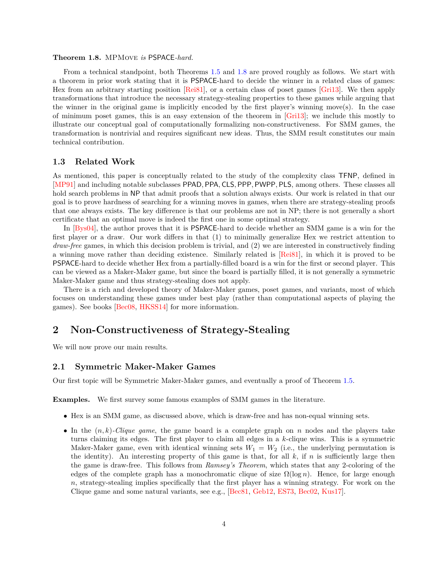#### **Theorem 1.8.** MPMove *is* PSPACE*-hard.*

From a technical standpoint, both Theorems [1.5](#page-3-2) and [1.8](#page-3-3) are proved roughly as follows. We start with a theorem in prior work stating that it is PSPACE-hard to decide the winner in a related class of games: Hex from an arbitrary starting position [\[Rei81\]](#page--1-3), or a certain class of poset games [\[Gri13\]](#page--1-4). We then apply transformations that introduce the necessary strategy-stealing properties to these games while arguing that the winner in the original game is implicitly encoded by the first player's winning move(s). In the case of minimum poset games, this is an easy extension of the theorem in [\[Gri13\]](#page--1-4); we include this mostly to illustrate our conceptual goal of computationally formalizing non-constructiveness. For SMM games, the transformation is nontrivial and requires significant new ideas. Thus, the SMM result constitutes our main technical contribution.

## **1.3 Related Work**

As mentioned, this paper is conceptually related to the study of the complexity class TFNP, defined in [\[MP91\]](#page--1-5) and including notable subclasses PPAD*,* PPA*,* CLS*,* PPP*,* PWPP*,* PLS, among others. These classes all hold search problems in NP that admit proofs that a solution always exists. Our work is related in that our goal is to prove hardness of searching for a winning moves in games, when there are strategy-stealing proofs that one always exists. The key difference is that our problems are not in NP; there is not generally a short certificate that an optimal move is indeed the first one in some optimal strategy.

In [\[Bys04\]](#page-9-1), the author proves that it is PSPACE-hard to decide whether an SMM game is a win for the first player or a draw. Our work differs in that (1) to minimally generalize Hex we restrict attention to *draw-free* games, in which this decision problem is trivial, and (2) we are interested in constructively finding a winning move rather than deciding existence. Similarly related is [\[Rei81\]](#page--1-3), in which it is proved to be PSPACE-hard to decide whether Hex from a partially-filled board is a win for the first or second player. This can be viewed as a Maker-Maker game, but since the board is partially filled, it is not generally a symmetric Maker-Maker game and thus strategy-stealing does not apply.

There is a rich and developed theory of Maker-Maker games, poset games, and variants, most of which focuses on understanding these games under best play (rather than computational aspects of playing the games). See books [\[Bec08,](#page-9-0) [HKSS14\]](#page--1-2) for more information.

## **2 Non-Constructiveness of Strategy-Stealing**

We will now prove our main results.

### **2.1 Symmetric Maker-Maker Games**

Our first topic will be Symmetric Maker-Maker games, and eventually a proof of Theorem [1.5.](#page-3-2)

**Examples.** We first survey some famous examples of SMM games in the literature.

- ∙ Hex is an SMM game, as discussed above, which is draw-free and has non-equal winning sets.
- In the  $(n, k)$ -Clique game, the game board is a complete graph on  $n$  nodes and the players take turns claiming its edges. The first player to claim all edges in a  $k$ -clique wins. This is a symmetric Maker-Maker game, even with identical winning sets  $W_1 = W_2$  (i.e., the underlying permutation is the identity). An interesting property of this game is that, for all  $k$ , if  $n$  is sufficiently large then the game is draw-free. This follows from *Ramsey's Theorem*, which states that any 2-coloring of the edges of the complete graph has a monochromatic clique of size  $\Omega(\log n)$ . Hence, for large enough  $n$ , strategy-stealing implies specifically that the first player has a winning strategy. For work on the Clique game and some natural variants, see e.g., [\[Bec81,](#page-9-2) [Geb12,](#page--1-6) [ES73,](#page-9-3) [Bec02,](#page-9-4) [Kus17\]](#page--1-7).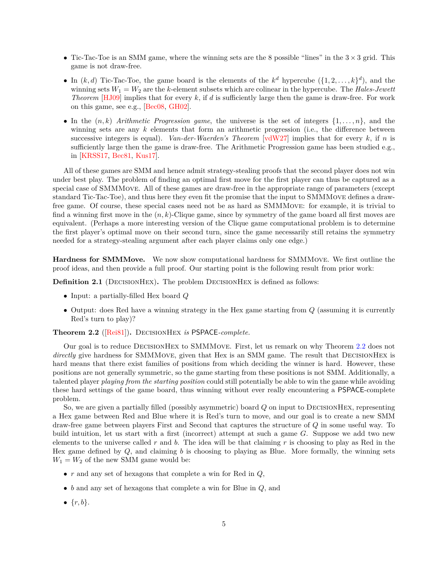- ∙ Tic-Tac-Toe is an SMM game, where the winning sets are the 8 possible "lines" in the 3 × 3 grid. This game is not draw-free.
- In  $(k, d)$  Tic-Tac-Toe, the game board is the elements of the  $k^d$  hypercube  $({1, 2, \ldots, k})^d$ , and the winning sets  $W_1 = W_2$  are the k-element subsets which are colinear in the hypercube. The *Hales-Jewett Theorem* [\[HJ09\]](#page--1-8) implies that for every  $k$ , if  $d$  is sufficiently large then the game is draw-free. For work on this game, see e.g., [\[Bec08,](#page-9-0) [GH02\]](#page--1-9).
- ∙ In the (*,* ) *Arithmetic Progression game*, the universe is the set of integers {1*, . . . ,* }, and the winning sets are any  $k$  elements that form an arithmetic progression (i.e., the difference between successive integers is equal). *Van-der-Waerden's Theorem* [\[vdW27\]](#page--1-10) implies that for every  $k$ , if  $n$  is sufficiently large then the game is draw-free. The Arithmetic Progression game has been studied e.g., in [\[KRSS17,](#page--1-11) [Bec81,](#page-9-2) [Kus17\]](#page--1-7).

All of these games are SMM and hence admit strategy-stealing proofs that the second player does not win under best play. The problem of finding an optimal first move for the first player can thus be captured as a special case of SMMMove. All of these games are draw-free in the appropriate range of parameters (except standard Tic-Tac-Toe), and thus here they even fit the promise that the input to SMMMove defines a drawfree game. Of course, these special cases need not be as hard as SMMMove: for example, it is trivial to find a winning first move in the  $(n, k)$ -Clique game, since by symmetry of the game board all first moves are equivalent. (Perhaps a more interesting version of the Clique game computational problem is to determine the first player's optimal move on their second turn, since the game necessarily still retains the symmetry needed for a strategy-stealing argument after each player claims only one edge.)

**Hardness for SMMMove.** We now show computational hardness for SMMMove. We first outline the proof ideas, and then provide a full proof. Our starting point is the following result from prior work:

**Definition 2.1** (DECISIONHEX). The problem DECISIONHEX is defined as follows:

- ∙ Input: a partially-filled Hex board
- Output: does Red have a winning strategy in the Hex game starting from  $Q$  (assuming it is currently Red's turn to play)?

<span id="page-5-0"></span>**Theorem 2.2** ([\[Rei81\]](#page--1-3))**.** DecisionHex *is* PSPACE*-complete.*

Our goal is to reduce DecisionHex to SMMMove. First, let us remark on why Theorem [2.2](#page-5-0) does not *directly* give hardness for SMMMOVE, given that Hex is an SMM game. The result that DECISIONHEX is hard means that there exist families of positions from which deciding the winner is hard. However, these positions are not generally symmetric, so the game starting from these positions is not SMM. Additionally, a talented player *playing from the starting position* could still potentially be able to win the game while avoiding these hard settings of the game board, thus winning without ever really encountering a PSPACE-complete problem.

So, we are given a partially filled (possibly asymmetric) board  $Q$  on input to DECISIONHEX, representing a Hex game between Red and Blue where it is Red's turn to move, and our goal is to create a new SMM draw-free game between players First and Second that captures the structure of  $Q$  in some useful way. To build intuition, let us start with a first (incorrect) attempt at such a game  $G$ . Suppose we add two new elements to the universe called  $r$  and  $b$ . The idea will be that claiming  $r$  is choosing to play as Red in the Hex game defined by  $Q$ , and claiming  $b$  is choosing to playing as Blue. More formally, the winning sets  $W_1 = W_2$  of the new SMM game would be:

- $r$  and any set of hexagons that complete a win for Red in  $Q$ ,
- $b$  and any set of hexagons that complete a win for Blue in  $Q$ , and
- $\bullet \{r, b\}.$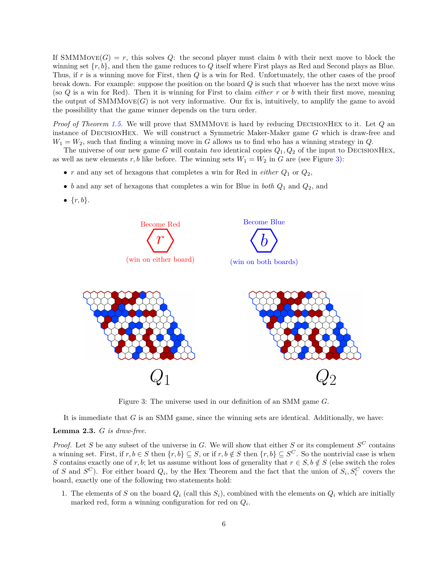If SMMMove $(G) = r$ , this solves Q: the second player must claim b with their next move to block the winning set  $\{r, b\}$ , and then the game reduces to Q itself where First plays as Red and Second plays as Blue. Thus, if  $r$  is a winning move for First, then  $Q$  is a win for Red. Unfortunately, the other cases of the proof break down. For example: suppose the position on the board  $Q$  is such that whoever has the next move wins (so Q is a win for Red). Then it is winning for First to claim *either* r or b with their first move, meaning the output of  $SMMMove(G)$  is not very informative. Our fix is, intuitively, to amplify the game to avoid the possibility that the game winner depends on the turn order.

*Proof of Theorem [1.5.](#page-3-2)* We will prove that SMMMOVE is hard by reducing DECISIONHEX to it. Let Q an instance of DECISIONHEX. We will construct a Symmetric Maker-Maker game  $G$  which is draw-free and  $W_1 = W_2$ , such that finding a winning move in G allows us to find who has a winning strategy in Q.

The universe of our new game G will contain *two* identical copies  $Q_1, Q_2$  of the input to DECISIONHEX, as well as new elements  $r, b$  like before. The winning sets  $W_1 = W_2$  in G are (see Figure [3\)](#page-6-0):

- $r$  and any set of hexagons that completes a win for Red in *either*  $Q_1$  or  $Q_2$ ,
- *b* and any set of hexagons that completes a win for Blue in *both*  $Q_1$  and  $Q_2$ , and
- $\bullet \{r, b\}.$



<span id="page-6-0"></span>Figure 3: The universe used in our definition of an SMM game  $G$ .

It is immediate that  $G$  is an SMM game, since the winning sets are identical. Additionally, we have:

### **Lemma 2.3.** *is draw-free.*

*Proof.* Let S be any subset of the universe in G. We will show that either S or its complement  $S^C$  contains a winning set. First, if  $r, b \in S$  then  $\{r, b\} \subseteq S$ , or if  $r, b \notin S$  then  $\{r, b\} \subseteq S^C$ . So the nontrivial case is when S contains exactly one of *r*, *b*; let us assume without loss of generality that  $r \in S$ ,  $b \notin S$  (else switch the roles of *S* and  $S^C$ ). For either board  $Q_i$ , by the Hex Theorem and the fact that the union of  $S_i, S_i^C$  covers the board, exactly one of the following two statements hold:

1. The elements of S on the board  $Q_i$  (call this  $S_i$ ), combined with the elements on  $Q_i$  which are initially marked red, form a winning configuration for red on  $Q_i$ .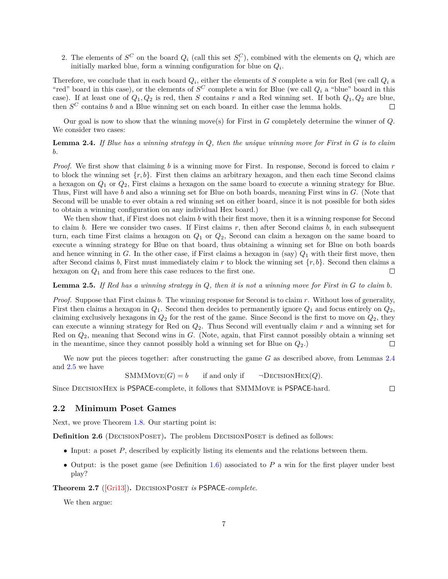2. The elements of  $S^C$  on the board  $Q_i$  (call this set  $S_i^C$ ), combined with the elements on  $Q_i$  which are initially marked blue, form a winning configuration for blue on  $Q_i$ .

Therefore, we conclude that in each board  $Q_i$ , either the elements of S complete a win for Red (we call  $Q_i$  a "red" board in this case), or the elements of  $S^C$  complete a win for Blue (we call  $Q_i$  a "blue" board in this case). If at least one of  $Q_1, Q_2$  is red, then S contains r and a Red winning set. If both  $Q_1, Q_2$  are blue, then  $S^C$  contains *b* and a Blue winning set on each board. In either case the lemma holds.  $\Box$ 

Our goal is now to show that the winning move(s) for First in  $G$  completely determine the winner of  $Q$ . We consider two cases:

<span id="page-7-0"></span>**Lemma 2.4.** If Blue has a winning strategy in  $Q$ , then the unique winning move for First in  $G$  is to claim *.*

*Proof.* We first show that claiming  $b$  is a winning move for First. In response, Second is forced to claim  $r$ to block the winning set  $\{r, b\}$ . First then claims an arbitrary hexagon, and then each time Second claims a hexagon on  $Q_1$  or  $Q_2$ , First claims a hexagon on the same board to execute a winning strategy for Blue. Thus, First will have  $b$  and also a winning set for Blue on both boards, meaning First wins in  $G$ . (Note that Second will be unable to ever obtain a red winning set on either board, since it is not possible for both sides to obtain a winning configuration on any individual Hex board.)

We then show that, if First does not claim  $b$  with their first move, then it is a winning response for Second to claim b. Here we consider two cases. If First claims  $r$ , then after Second claims  $b$ , in each subsequent turn, each time First claims a hexagon on  $Q_1$  or  $Q_2$ , Second can claim a hexagon on the same board to execute a winning strategy for Blue on that board, thus obtaining a winning set for Blue on both boards and hence winning in G. In the other case, if First claims a hexagon in (say)  $Q_1$  with their first move, then after Second claims b, First must immediately claim r to block the winning set  $\{r, b\}$ . Second then claims a hexagon on  $Q_1$  and from here this case reduces to the first one. П

#### <span id="page-7-1"></span>**Lemma 2.5.** *If Red has a winning strategy in*  $Q$ , then it is not a winning move for First in  $G$  to claim  $b$ .

*Proof.* Suppose that First claims  $b$ . The winning response for Second is to claim  $r$ . Without loss of generality, First then claims a hexagon in  $Q_1$ . Second then decides to permanently ignore  $Q_1$  and focus entirely on  $Q_2$ , claiming exclusively hexagons in  $Q_2$  for the rest of the game. Since Second is the first to move on  $Q_2$ , they can execute a winning strategy for Red on  $Q_2$ . Thus Second will eventually claim  $r$  and a winning set for Red on  $Q_2$ , meaning that Second wins in  $G$ . (Note, again, that First cannot possibly obtain a winning set in the meantime, since they cannot possibly hold a winning set for Blue on  $Q_2$ .  $\Box$ 

We now put the pieces together: after constructing the game  $G$  as described above, from Lemmas [2.4](#page-7-0) and [2.5](#page-7-1) we have

 $SMMMove(G) = b$  if and only if  $\neg$ DECISIONHEX(Q).

 $\Box$ 

Since DecisionHex is PSPACE-complete, it follows that SMMMove is PSPACE-hard.

#### **2.2 Minimum Poset Games**

Next, we prove Theorem [1.8.](#page-3-3) Our starting point is:

**Definition 2.6** (DECISIONPOSET). The problem DECISIONPOSET is defined as follows:

- Input: a poset  $P$ , described by explicitly listing its elements and the relations between them.
- Output: is the poset game (see Definition [1.6\)](#page-3-4) associated to  $P$  a win for the first player under best play?

**Theorem 2.7** ([\[Gri13\]](#page--1-4))**.** DecisionPoset *is* PSPACE*-complete.*

We then argue: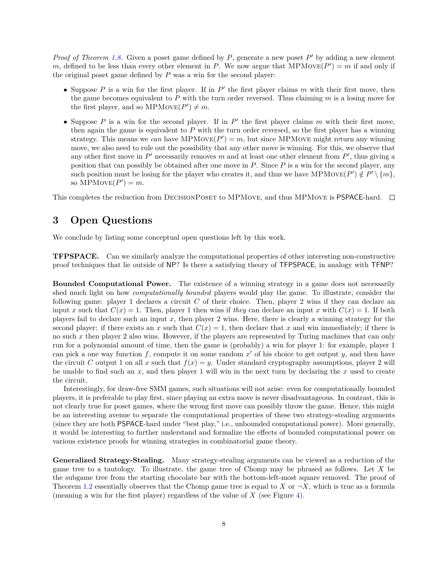*Proof of Theorem [1.8.](#page-3-3)* Given a poset game defined by  $P$ , generate a new poset  $P'$  by adding a new element m, defined to be less than every other element in P. We now argue that  $MPMove(P') = m$  if and only if the original poset game defined by  $P$  was a win for the second player:

- Suppose  $P$  is a win for the first player. If in  $P'$  the first player claims  $m$  with their first move, then the game becomes equivalent to  $P$  with the turn order reversed. Thus claiming  $m$  is a losing move for the first player, and so  $MPMove(P') \neq m$ .
- Suppose  $P$  is a win for the second player. If in  $P'$  the first player claims  $m$  with their first move, then again the game is equivalent to  $P$  with the turn order reversed, so the first player has a winning strategy. This means we *can* have MPMov $E(P') = m$ , but since MPMove might return any winning move, we also need to rule out the possibility that any other move is winning. For this, we observe that any other first move in  $P'$  necessarily removes m and at least one other element from  $P'$ , thus giving a position that can possibly be obtained after one move in  $P$ . Since  $P$  is a win for the second player, any such position must be losing for the player who creates it, and thus we have MPMOVE( $P'$ )  $\notin P' \setminus \{m\}$ , so  $\text{MPMove}(P') = m$ .

This completes the reduction from DECISIONPOSET to MPMOVE, and thus MPMOVE is PSPACE-hard.  $\square$ 

# **3 Open Questions**

We conclude by listing some conceptual open questions left by this work.

**TFPSPACE.** Can we similarly analyze the computational properties of other interesting non-constructive proof techniques that lie outside of NP? Is there a satisfying theory of TFPSPACE, in analogy with TFNP?

**Bounded Computational Power.** The existence of a winning strategy in a game does not necessarily shed much light on how *computationally bounded* players would play the game. To illustrate, consider the following game: player 1 declares a circuit  $C$  of their choice. Then, player 2 wins if they can declare an input x such that  $C(x) = 1$ . Then, player 1 then wins if *they* can declare an input x with  $C(x) = 1$ . If both players fail to declare such an input  $x$ , then player 2 wins. Here, there is clearly a winning strategy for the second player: if there exists an x such that  $C(x) = 1$ , then declare that x and win immediately; if there is no such  $x$  then player 2 also wins. However, if the players are represented by Turing machines that can only run for a polynomial amount of time, then the game is (probably) a win for player 1: for example, player 1 can pick a one way function f, compute it on some random  $x'$  of his choice to get output y, and then have the circuit C output 1 on all x such that  $f(x) = y$ . Under standard cryptography assumptions, player 2 will be unable to find such an  $x$ , and then player 1 will win in the next turn by declaring the  $x$  used to create the circuit.

Interestingly, for draw-free SMM games, such situations will not arise: even for computationally bounded players, it is preferable to play first, since playing an extra move is never disadvantageous. In contrast, this is not clearly true for poset games, where the wrong first move can possibly throw the game. Hence, this might be an interesting avenue to separate the computational properties of these two strategy-stealing arguments (since they are both PSPACE-hard under "best play," i.e., unbounded computational power). More generally, it would be interesting to further understand and formalize the effects of bounded computational power on various existence proofs for winning strategies in combinatorial game theory.

**Generalized Strategy-Stealing.** Many strategy-stealing arguments can be viewed as a reduction of the game tree to a tautology. To illustrate, the game tree of Chomp may be phrased as follows. Let  $X$  be the subgame tree from the starting chocolate bar with the bottom-left-most square removed. The proof of Theorem [1.2](#page-2-1) essentially observes that the Chomp game tree is equal to X or  $\neg X$ , which is true as a formula (meaning a win for the first player) regardless of the value of  $X$  (see Figure [4\)](#page-9-5).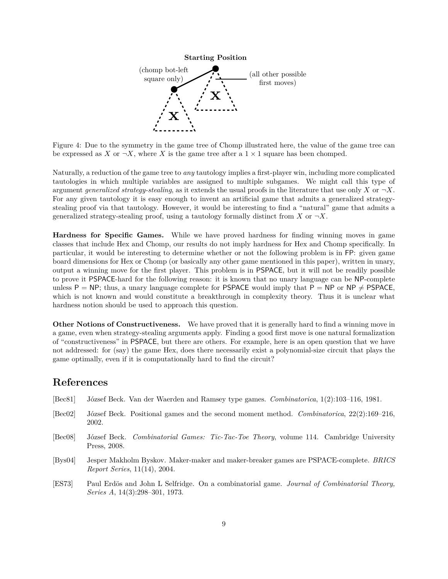<span id="page-9-5"></span>

Figure 4: Due to the symmetry in the game tree of Chomp illustrated here, the value of the game tree can be expressed as X or  $\neg X$ , where X is the game tree after a  $1 \times 1$  square has been chomped.

Naturally, a reduction of the game tree to *any* tautology implies a first-player win, including more complicated tautologies in which multiple variables are assigned to multiple subgames. We might call this type of argument *generalized strategy-stealing*, as it extends the usual proofs in the literature that use only X or  $\neg X$ . For any given tautology it is easy enough to invent an artificial game that admits a generalized strategystealing proof via that tautology. However, it would be interesting to find a "natural" game that admits a generalized strategy-stealing proof, using a tautology formally distinct from X or  $\neg X$ .

**Hardness for Specific Games.** While we have proved hardness for finding winning moves in game classes that include Hex and Chomp, our results do not imply hardness for Hex and Chomp specifically. In particular, it would be interesting to determine whether or not the following problem is in FP: given game board dimensions for Hex or Chomp (or basically any other game mentioned in this paper), written in unary, output a winning move for the first player. This problem is in PSPACE, but it will not be readily possible to prove it PSPACE-hard for the following reason: it is known that no unary language can be NP-complete unless P = NP; thus, a unary language complete for PSPACE would imply that P = NP or NP  $\neq$  PSPACE, which is not known and would constitute a breakthrough in complexity theory. Thus it is unclear what hardness notion should be used to approach this question.

**Other Notions of Constructiveness.** We have proved that it is generally hard to find a winning move in a game, even when strategy-stealing arguments apply. Finding a good first move is one natural formalization of "constructiveness" in PSPACE, but there are others. For example, here is an open question that we have not addressed: for (say) the game Hex, does there necessarily exist a polynomial-size circuit that plays the game optimally, even if it is computationally hard to find the circuit?

# **References**

<span id="page-9-4"></span><span id="page-9-3"></span><span id="page-9-2"></span><span id="page-9-1"></span><span id="page-9-0"></span>

| [Bec81] | József Beck. Van der Waerden and Ramsey type games. Combinatorica, 1(2):103–116, 1981.                                          |
|---------|---------------------------------------------------------------------------------------------------------------------------------|
| [Bec02] | József Beck. Positional games and the second moment method. Combinatorica, $22(2):169-216$ ,<br>2002.                           |
| [Bec08] | József Beck. Combinatorial Games: Tic-Tac-Toe Theory, volume 114. Cambridge University<br>Press, 2008.                          |
| [Bys04] | Jesper Makholm Byskov. Maker-maker and maker-breaker games are PSPACE-complete. <i>BRICS</i><br>Report Series, 11(14), 2004.    |
| [ES73]  | Paul Erdös and John L Selfridge. On a combinatorial game. Journal of Combinatorial Theory,<br>Series A, $14(3):298-301$ , 1973. |
|         |                                                                                                                                 |